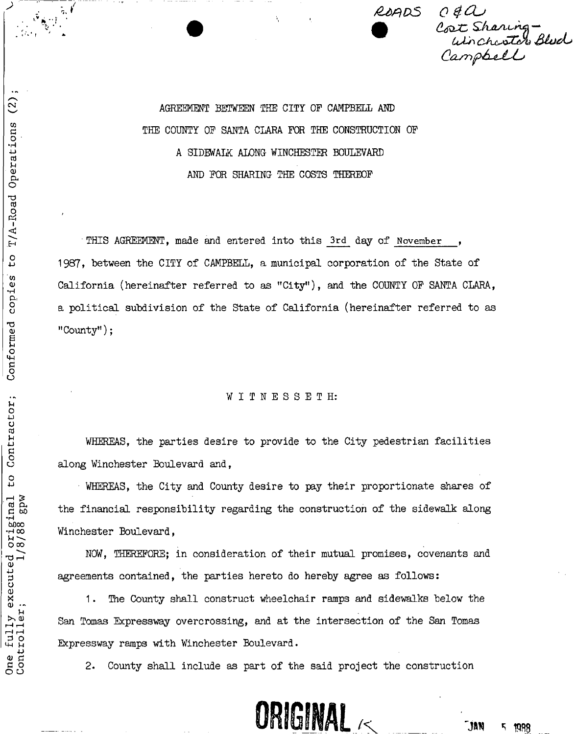

AGREEMENT BETWEEN THE CITY OF CAMPBELL AM) THE COUNTY OP SANTA CLARA FOR THE CONSTRUCTION OF A SIDEWALK ALONG WINCHESTER BOULEVARD AND FOR SHARING THE COSTS THEREOF

• THIS AGREEMENT, made and entered into this **3rd** day of **November ,**  1987, between the CITY of CAMPBELL, a municipal corporation of the State of California (hereinafter referred to as "City"), and the COUNTY OF SANTA CLARA, a political subdivision of the State of California (hereinafter referred to as "County");

#### WITNESSETH:

WHEREAS, the parties desire to provide to the City pedestrian facilities along Winchester Boulevard and,

WHEREAS, the City and County desire to pay their proportionate shares of the financial responsibility regarding the construction of the sidewalk along Winchester Boulevard,

NOW, THEREFORE; in consideration of their mutual promises, covenants and agreements contained, the parties hereto do hereby agree as follows:

1. The County shall construct wheelchair ramps and sidewalks below the San Tomas Expressway overcrossing, and at the intersection of the San Tomas Expressway ramps with Winchester Boulevard.

2. County shall include as part of the said project the construction



*NJ*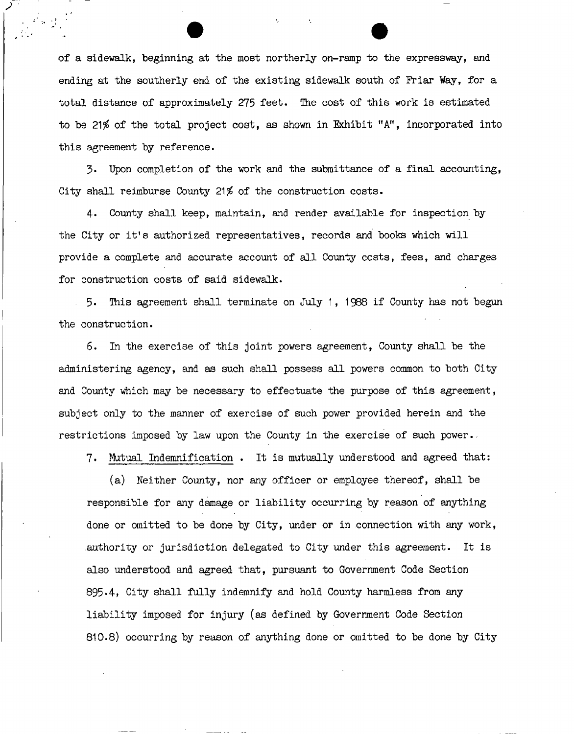of a sidewalk, beginning at the most northerly on-ramp to the expressway, and ending at the southerly end of the existing sidewalk south of Friar Way, for a total distance of approximately 275 feet. The cost of this work is estimated to be 21% of the total project cost, as shown in Exhibit  $"A"$ , incorporated into this agreement by reference.

3. Upon completion of the work and the submittance of a final accounting, City shall reimburse County 21\$ of the construction costs.

4. County shall keep, maintain, and render available for inspection by the City or it's authorized representatives, records and books which will provide a complete and accurate account of all County costs, fees, and charges for construction costs of said sidewalk.

5. This agreement shall terminate on July 1, 1988 if County has not begun the construction.

6. In the exercise of this joint powers agreement, County shall be the administering agency, and as such shall possess all powers common to both City and County which may be necessary to effectuate the purpose of this agreement, subject only to the manner of exercise of such power provided herein and the restrictions imposed by law upon the County in the exercise of such power..

7. Mutual Indemnification . It is mutually understood and agreed that:

(a) Neither County, nor any officer or employee thereof, shall be responsible for any damage or liability occurring by reason of anything done or omitted to be done by City, under or in connection with any work, authority or jurisdiction delegated to City under this agreement. It is also understood and agreed that, pursuant to Government Code Section 895.4. City shall fully indemnify and hold County harmless from any liability imposed for injury (as defined by Government Code Section 810.8) occurring by reason of anything done or omitted to be done by City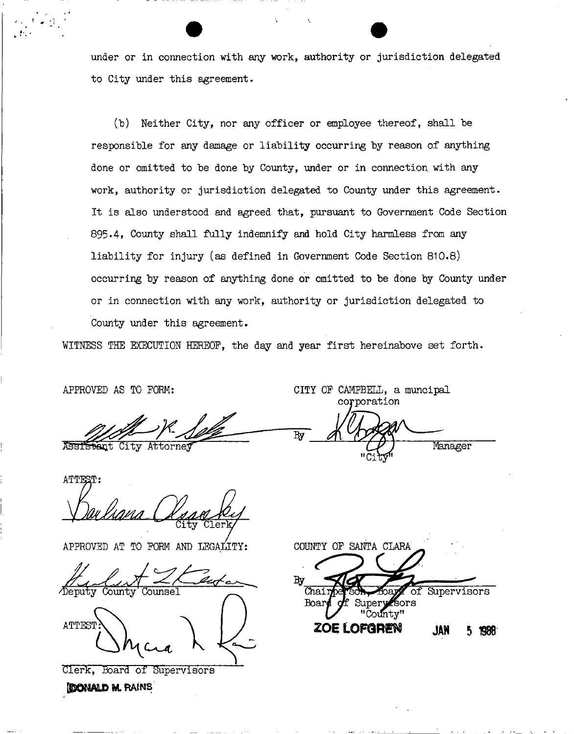under or in connection with any work, authority or jurisdiction delegated to City under this agreement.

(b) Neither City, nor any officer or employee thereof, shall be responsible for any damage or liability occurring by reason of anything done or omitted to be done by County, under or in connection with any work, authority or jurisdiction delegated to County under this agreement. It is also understood and agreed that, pursuant to Government Code Section 895.4, County shall fully indemnify and hold City harmless from any liability for injury (as defined in Government Code Section 810.8) occurring by reason of anything done or omitted to be done by County under or in connection with any work, authority or jurisdiction delegated to County under this agreement.

WITNESS THE EXECUTION HEREOF, the day and year first hereinabove set forth.

By

**APPROVED AS TO FORM:** 

ASSIStant City Attorney

corporation Manager

CITY OF CAMPBELL, a muncipal

**ATTEST:**  ;y Cler

**APPROVED AT TO FORM AND LEGALITY** 

County Counsel **ATTEST\ \** 

Clerk, Board of Supervisors

**IDONALD M. RAINS** 

COUNTY OF SANTA CLARA Вy  $\overline{\text{Cha}}$ Supervisors Board Super Sors ntv" **ZOE LOFGREN JAN FIRR**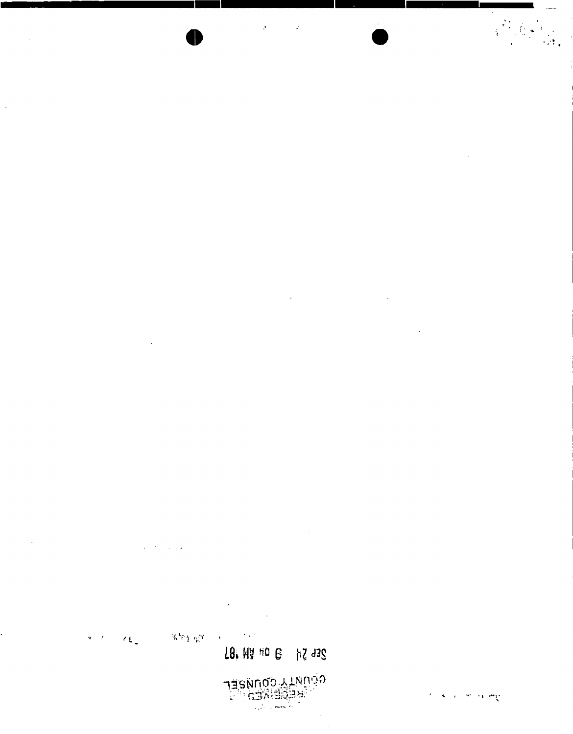

# 18. HD HD B HZ J3S

 $\label{eq:2.1} \begin{split} \mathbf{a}^{(1)} &= \mathbf{a}^{(1)} \mathbf{a}^{(1)} \\ \mathbf{a}^{(2)} &= \mathbf{a}^{(2)} \mathbf{a}^{(2)} \\ \mathbf{a}^{(1)} &= \mathbf{a}^{(1)} \mathbf{a}^{(1)} \end{split}$  $\mathcal{L}_{\mathcal{P}}$  tags  $\mathcal{O}(4\pi^2)$  $\mathcal{L}$  to  $\mathcal{L}$ 

 $\chi \rightarrow \chi$  $\sim$   $\sim$  $\mathcal{A}$ 

 $\sim$   $\sim$  $\alpha$ 

 $\mathcal{A}^{\mathcal{A}}$ 

 $\ddot{\phantom{a}}$ 

 $\mathbf{u} \in \mathcal{F}$ 

÷,

 $\hat{\mathcal{A}}$ 

 $\Delta \phi = 0.002$ 

l.

 $\hat{\mathbf{v}}$ 

 $\mathcal{C}^{\mathbb{C}}(\mathbf{S}^{\mathbb{C}}(t))$  where  $\mathcal{C}^{\mathbb{C}}(\mathbf{S}^{\mathbb{C}}(t))$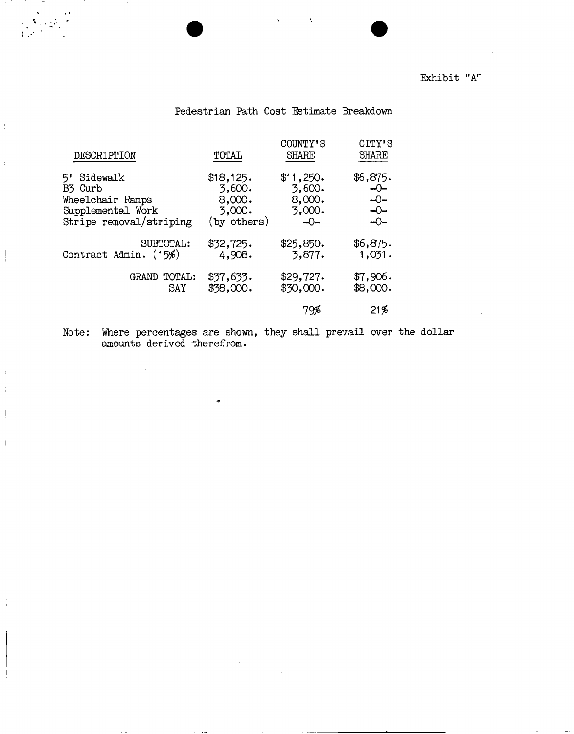#### Exhibit "A"

#### Pedestrian Path Cost Estimate Breakdown

| DESCRIPTION                                                                                   | TOTAL                                                  | COUNTY'S<br><b>SHARE</b>                            | CITY'S<br><b>SHARE</b>                                |
|-----------------------------------------------------------------------------------------------|--------------------------------------------------------|-----------------------------------------------------|-------------------------------------------------------|
| Sidewalk<br>5'<br>B3 Curb<br>Wheelchair Ramps<br>Supplemental Work<br>Stripe removal/striping | \$18,125.<br>3,600.<br>8,000.<br>3,000.<br>(by others) | \$11,250.<br>3,600.<br>8,000.<br>3,000.<br>$ \odot$ | \$6,875.<br>-0-<br>$-$<br>$\overline{a}$<br>$-$ O $-$ |
| SUBTOTAL:<br>Contract Admin. (15%)                                                            | \$32,725.<br>4,908.                                    | \$25,850.<br>3,877.                                 | \$6,875.<br>1,031.                                    |
| <b>TOTAL:</b><br>GRAND<br>SAY                                                                 | \$37,633.<br>\$38,000.                                 | \$29,727.<br>\$30,000.                              | \$7,906.<br>\$8,000.                                  |
|                                                                                               |                                                        | 79%                                                 | 21%                                                   |

 $\ddot{\cdot}$ 

 $\bar{1}$  $\frac{1}{4}$ 

Ŕ

Note: Where percentages are shown, they shall prevail over the dollar amounts derived therefrom.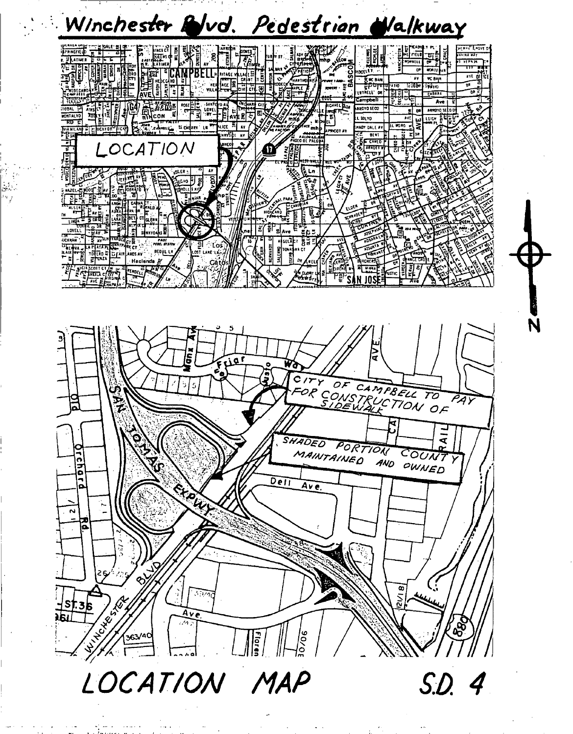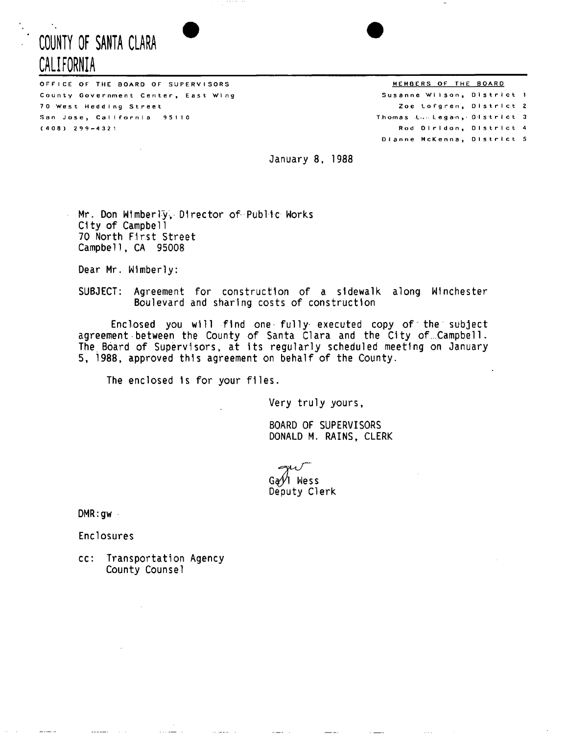### **COUNTY OF SANTA CLARA # CALIFORNIA**

OFFICE OF THE BOARD OF SUPERVISORS THE SOLE SERVICE SOLET A SALE AND MEMBERS OF THE BOARD County Government Center, East Wing 70 West Hedding Street San Jose, California 95110  $(408)$  299-4321

Susanne Wilson, District 1 Zoe Lofgren, District 2 Thomas L...Legan, District 3 Rod Diridon, District 4 Dianne McKenna, District 5

January 8, 1988

Mr. Don Wlmberly, Director of Public Works City of Campbell 70 North First Street Campbell, CA 95008

Dear Mr. Wimberly:

SUBJECT: Agreement for construction of a sidewalk along Winchester Boulevard and sharing costs of construction

Enclosed you will find one fully executed copy of the subject agreement between the County of Santa Clara and the City of...Campbel 1. The Board of Supervisors, at its regularly scheduled meeting on January 5, 1988, approved this agreement on behalf of the County.

The enclosed Is for your files.

Very truly yours

BOARD OF SUPERVISORS DONALD M. RAINS, CLERK

Ga⁄i⁄l Wess Deputy Clerk

DMR:gw -

Enclosures

cc: Transportation Agency County Counsel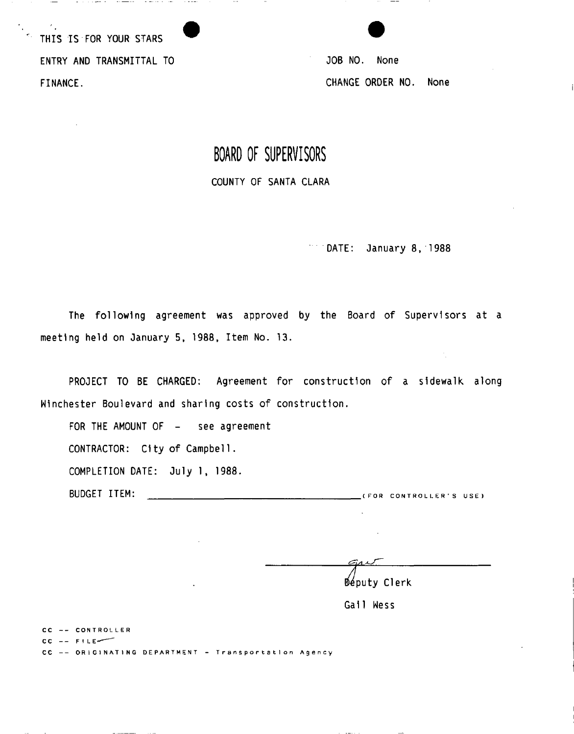THIS IS FOR YOUR STARS ENTRY AND TRANSMITTAL TO **SECURE 12 SECURE 12 SECURE 12 SECURE 10 SECURE 10 SECURE 10 SECURE 10 SECURE 10 SECURE 10 SECURE 10 SECURE 10 SECURE 10 SECURE 10 SECURE 10 SECURE 10 SECURE 10 SECURE 10 SECURE 10 SECURE 10 SECURE** FINANCE. CHANGE ORDER NO. None

the construction of the company of the model of the construction of the construction of the construction of the construction of the construction of the construction of the construction of the construction of the constructi

## **BOARD OF SUPERVISORS**

COUNTY OF SANTA CLARA

DATE: January 8, 1988

The following agreement was approved by the Board of Supervisors at a meeting held on January 5, 1988, Item No. 13.

PROJECT TO BE CHARGED: Agreement for construction of a sidewalk along Winchester Boulevard and sharing costs of construction.

FOR THE AMOUNT OF - see agreement

CONTRACTOR: City of Campbell.

COMPLETION DATE: July 1, 1988.

BUDGET ITEM: (FO R CONTROLLER' S USE )

 $\epsilon$ art Deputy Clerk

 $\sim 10^7$ 

 $\sim$ 

Gall Wess

CC -- CONTROLLER

 $CC = F1LE$ 

CC -- ORIGINATING DEPARTMENT - Transportation Agency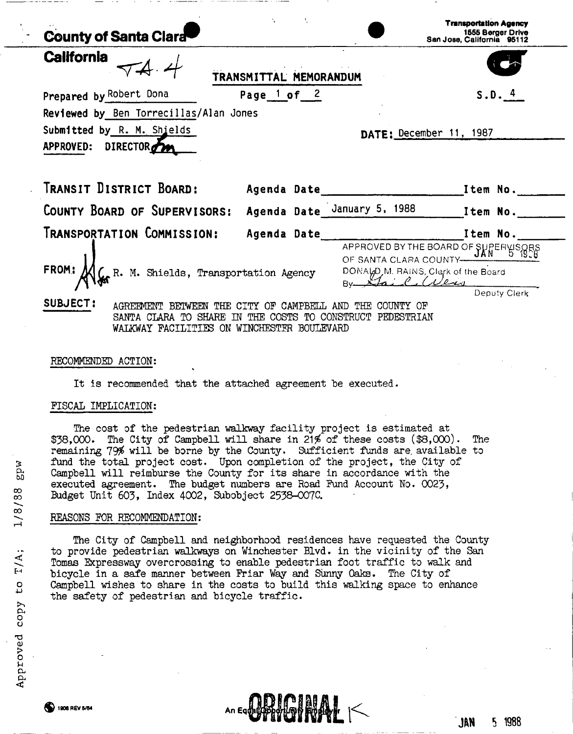| <b>County of Santa Clara</b>                                                                                             |                        |                                                                                                               | <b>Transportation Agency</b><br>1555 Berger Drive<br>San Jose, California 95112 |  |  |
|--------------------------------------------------------------------------------------------------------------------------|------------------------|---------------------------------------------------------------------------------------------------------------|---------------------------------------------------------------------------------|--|--|
| <b>California</b>                                                                                                        | TRANSMITTAL MEMORANDUM |                                                                                                               |                                                                                 |  |  |
| Prepared by Robert Dona                                                                                                  | Page $1$ of $2$        |                                                                                                               | S.D. 4                                                                          |  |  |
| Reviewed by Ben Torrecillas/Alan Jones                                                                                   |                        |                                                                                                               |                                                                                 |  |  |
| Submitted by R. M. Shields<br>DATE: December 11, 1987                                                                    |                        |                                                                                                               |                                                                                 |  |  |
| APPROVED: DIRECTOR                                                                                                       |                        |                                                                                                               |                                                                                 |  |  |
|                                                                                                                          |                        |                                                                                                               |                                                                                 |  |  |
| Transit District Board:                                                                                                  |                        | Agenda Date Manuel Manuel Manuel Manuel Manuel Manuel Manuel Manuel Manuel Manuel Manuel Manuel Manuel Manuel |                                                                                 |  |  |
| COUNTY BOARD OF SUPERVISORS: Agenda Date January 5, 1988 1tem No.                                                        |                        |                                                                                                               |                                                                                 |  |  |
| Transportation Commission:                                                                                               |                        |                                                                                                               |                                                                                 |  |  |
|                                                                                                                          |                        | APPROVED BY THE BOARD OF SUPERVISORS                                                                          |                                                                                 |  |  |
| R. M. Shields, Transportation Agency<br>FROM:                                                                            |                        | OF SANTA CLARA COUNTY-<br>DONALD M. RAINS, Clerk of the Board                                                 |                                                                                 |  |  |
|                                                                                                                          |                        | By Clair (Were                                                                                                |                                                                                 |  |  |
| SUBJECT:                                                                                                                 |                        |                                                                                                               | Deputy Clerk                                                                    |  |  |
| AGREEMENT BETWEEN THE CITY OF CAMPBELL AND THE<br>COUNTY OF<br>SANTA CLARA TO SHARE IN THE COSTS TO CONSTRUCT PEDESTRIAN |                        |                                                                                                               |                                                                                 |  |  |
| WALKWAY FACILITIES ON WINCHESTER BOULEVARD                                                                               |                        |                                                                                                               |                                                                                 |  |  |
|                                                                                                                          |                        |                                                                                                               |                                                                                 |  |  |

#### RECOMMENDED ACTION:

It is recommended that the attached agreement be executed.

#### FISCAL IMPLICATION:

The cost of the pedestrian walkway facility project is estimated at  $$38,000$ . The City of Campbell will share in 21% of these costs  $$8,000$ . The remaining 79\$ will be borne by the County. Sufficient funds are, available to fund the total project cost. Upon completion of the project, the City of Campbell will reimburse the County for its share in accordance with the executed agreement. The budget numbers are Road Fund Account No. 0023, Budget Unit 603, Index 4002, Subobject 2538-007C.

#### REASONS FOR RECOMMENDATION:

The City of Campbell and neighborhood residences have requested the County to provide pedestrian walkways on Winchester Blvd. in the vicinity of the San Tomas Expressway overcrossing to enable pedestrian foot traffic to walk and bicycle in a safe manner between Friar Way and Sunny Oaks. The City of Campbell wishes to share in the costs to build this walking space to enhance the safety of pedestrian and bicycle traffic.

An Equator

£ ) 1908 REV 5/84